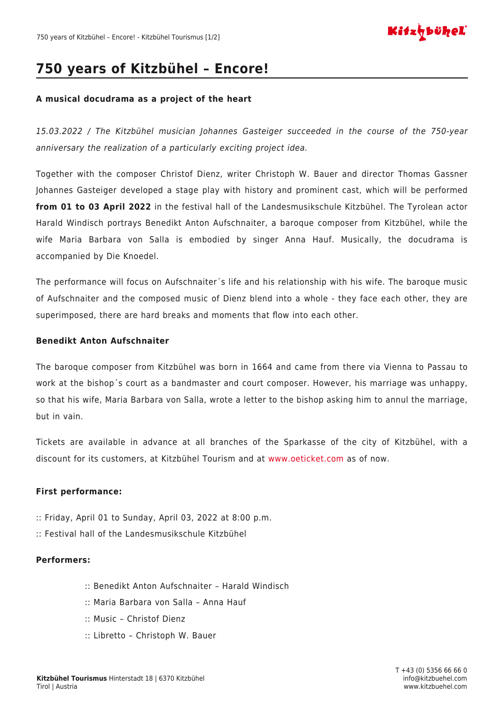

# **750 years of Kitzbühel – Encore!**

#### **A musical docudrama as a project of the heart**

15.03.2022 / The Kitzbühel musician Johannes Gasteiger succeeded in the course of the 750-year anniversary the realization of a particularly exciting project idea.

Together with the composer Christof Dienz, writer Christoph W. Bauer and director Thomas Gassner Johannes Gasteiger developed a stage play with history and prominent cast, which will be performed **from 01 to 03 April 2022** in the festival hall of the Landesmusikschule Kitzbühel. The Tyrolean actor Harald Windisch portrays Benedikt Anton Aufschnaiter, a baroque composer from Kitzbühel, while the wife Maria Barbara von Salla is embodied by singer Anna Hauf. Musically, the docudrama is accompanied by Die Knoedel.

The performance will focus on Aufschnaiter´s life and his relationship with his wife. The baroque music of Aufschnaiter and the composed music of Dienz blend into a whole - they face each other, they are superimposed, there are hard breaks and moments that flow into each other.

#### **Benedikt Anton Aufschnaiter**

The baroque composer from Kitzbühel was born in 1664 and came from there via Vienna to Passau to work at the bishop´s court as a bandmaster and court composer. However, his marriage was unhappy, so that his wife, Maria Barbara von Salla, wrote a letter to the bishop asking him to annul the marriage, but in vain.

Tickets are available in advance at all branches of the Sparkasse of the city of Kitzbühel, with a discount for its customers, at Kitzbühel Tourism and at [www.oeticket.com](http://www.oeticket.com) as of now.

### **First performance:**

- :: Friday, April 01 to Sunday, April 03, 2022 at 8:00 p.m.
- :: Festival hall of the Landesmusikschule Kitzbühel

### **Performers:**

- :: Benedikt Anton Aufschnaiter Harald Windisch
- :: Maria Barbara von Salla Anna Hauf
- :: Music Christof Dienz
- :: Libretto Christoph W. Bauer